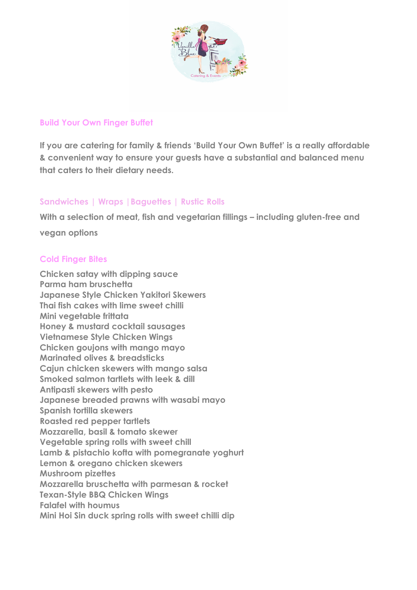

### **Build Your Own Finger Buffet**

**If you are catering for family & friends 'Build Your Own Buffet' is a really affordable & convenient way to ensure your guests have a substantial and balanced menu that caters to their dietary needs.**

# **Sandwiches | Wraps |Baguettes | Rustic Rolls**

**With a selection of meat, fish and vegetarian fillings – including gluten-free and** 

**vegan options**

## **Cold Finger Bites**

**Chicken satay with dipping sauce Parma ham bruschetta Japanese Style Chicken Yakitori Skewers Thai fish cakes with lime sweet chilli Mini vegetable frittata Honey & mustard cocktail sausages Vietnamese Style Chicken Wings Chicken goujons with mango mayo Marinated olives & breadsticks Cajun chicken skewers with mango salsa Smoked salmon tartlets with leek & dill Antipasti skewers with pesto Japanese breaded prawns with wasabi mayo Spanish tortilla skewers Roasted red pepper tartlets Mozzarella, basil & tomato skewer Vegetable spring rolls with sweet chill Lamb & pistachio kofta with pomegranate yoghurt Lemon & oregano chicken skewers Mushroom pizettes Mozzarella bruschetta with parmesan & rocket Texan-Style BBQ Chicken Wings Falafel with houmus Mini Hoi Sin duck spring rolls with sweet chilli dip**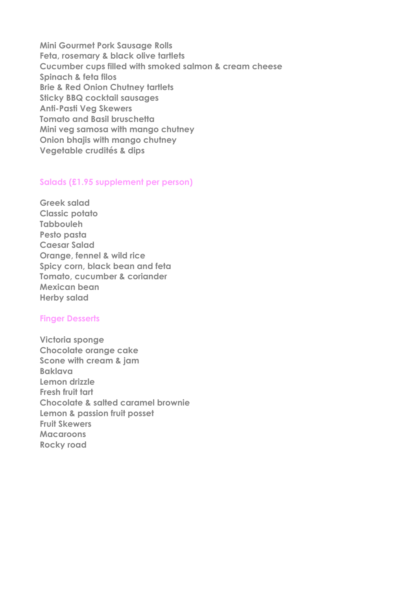**Mini Gourmet Pork Sausage Rolls Feta, rosemary & black olive tartlets Cucumber cups filled with smoked salmon & cream cheese Spinach & feta filos Brie & Red Onion Chutney tartlets Sticky BBQ cocktail sausages Anti-Pasti Veg Skewers Tomato and Basil bruschetta Mini veg samosa with mango chutney Onion bhajis with mango chutney Vegetable crudités & dips** 

### **Salads (£1.95 supplement per person)**

**Greek salad Classic potato Tabbouleh Pesto pasta Caesar Salad Orange, fennel & wild rice Spicy corn, black bean and feta Tomato, cucumber & coriander Mexican bean Herby salad**

#### **Finger Desserts**

**Victoria sponge Chocolate orange cake Scone with cream & jam Baklava Lemon drizzle Fresh fruit tart Chocolate & salted caramel brownie Lemon & passion fruit posset Fruit Skewers Macaroons Rocky road**